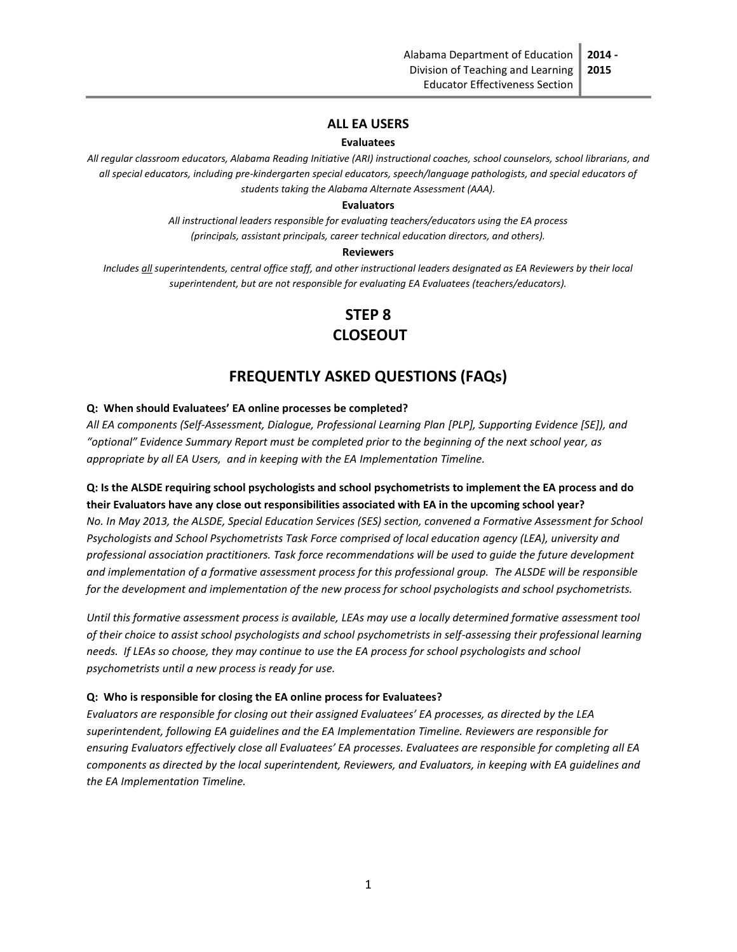**2015**

### **ALL EA USERS**

#### **Evaluatees**

*All regular classroom educators, Alabama Reading Initiative (ARI) instructional coaches, school counselors, school librarians, and all special educators, including pre-kindergarten special educators, speech/language pathologists, and special educators of students taking the Alabama Alternate Assessment (AAA).*

#### **Evaluators**

*All instructional leaders responsible for evaluating teachers/educators using the EA process (principals, assistant principals, career technical education directors, and others).*

#### **Reviewers**

*Includes all superintendents, central office staff, and other instructional leaders designated as EA Reviewers by their local superintendent, but are not responsible for evaluating EA Evaluatees (teachers/educators).*

# **STEP 8 CLOSEOUT**

# **FREQUENTLY ASKED QUESTIONS (FAQs)**

#### **Q: When should Evaluatees' EA online processes be completed?**

*All EA components (Self-Assessment, Dialogue, Professional Learning Plan [PLP], Supporting Evidence [SE]), and "optional" Evidence Summary Report must be completed prior to the beginning of the next school year, as appropriate by all EA Users, and in keeping with the EA Implementation Timeline.*

## **Q: Is the ALSDE requiring school psychologists and school psychometrists to implement the EA process and do their Evaluators have any close out responsibilities associated with EA in the upcoming school year?**

*No. In May 2013, the ALSDE, Special Education Services (SES) section, convened a Formative Assessment for School Psychologists and School Psychometrists Task Force comprised of local education agency (LEA), university and professional association practitioners. Task force recommendations will be used to guide the future development and implementation of a formative assessment process for this professional group. The ALSDE will be responsible for the development and implementation of the new process for school psychologists and school psychometrists.*

*Until this formative assessment process is available, LEAs may use a locally determined formative assessment tool of their choice to assist school psychologists and school psychometrists in self-assessing their professional learning needs. If LEAs so choose, they may continue to use the EA process for school psychologists and school psychometrists until a new process is ready for use.*

#### **Q: Who is responsible for closing the EA online process for Evaluatees?**

*Evaluators are responsible for closing out their assigned Evaluatees' EA processes, as directed by the LEA superintendent, following EA guidelines and the EA Implementation Timeline. Reviewers are responsible for ensuring Evaluators effectively close all Evaluatees' EA processes. Evaluatees are responsible for completing all EA components as directed by the local superintendent, Reviewers, and Evaluators, in keeping with EA guidelines and the EA Implementation Timeline.*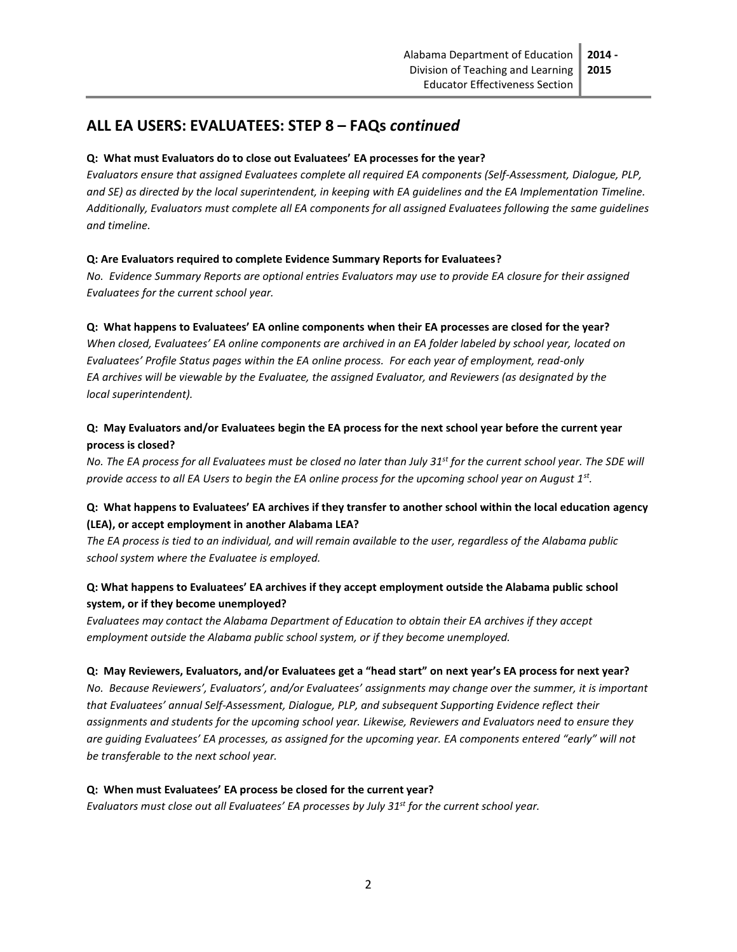# **ALL EA USERS: EVALUATEES: STEP 8 – FAQs** *continued*

## **Q: What must Evaluators do to close out Evaluatees' EA processes for the year?**

*Evaluators ensure that assigned Evaluatees complete all required EA components (Self-Assessment, Dialogue, PLP, and SE) as directed by the local superintendent, in keeping with EA guidelines and the EA Implementation Timeline. Additionally, Evaluators must complete all EA components for all assigned Evaluatees following the same guidelines and timeline.*

### **Q: Are Evaluators required to complete Evidence Summary Reports for Evaluatees?**

*No. Evidence Summary Reports are optional entries Evaluators may use to provide EA closure for their assigned Evaluatees for the current school year.*

### **Q: What happens to Evaluatees' EA online components when their EA processes are closed for the year?**

*When closed, Evaluatees' EA online components are archived in an EA folder labeled by school year, located on Evaluatees' Profile Status pages within the EA online process. For each year of employment, read-only EA archives will be viewable by the Evaluatee, the assigned Evaluator, and Reviewers (as designated by the local superintendent).*

## **Q: May Evaluators and/or Evaluatees begin the EA process for the next school year before the current year process is closed?**

*No. The EA process for all Evaluatees must be closed no later than July 31st for the current school year. The SDE will provide access to all EA Users to begin the EA online process for the upcoming school year on August 1st .*

## **Q: What happens to Evaluatees' EA archives if they transfer to another school within the local education agency (LEA), or accept employment in another Alabama LEA?**

*The EA process is tied to an individual, and will remain available to the user, regardless of the Alabama public school system where the Evaluatee is employed.* 

## **Q: What happens to Evaluatees' EA archives if they accept employment outside the Alabama public school system, or if they become unemployed?**

*Evaluatees may contact the Alabama Department of Education to obtain their EA archives if they accept employment outside the Alabama public school system, or if they become unemployed.*

### **Q:****May Reviewers, Evaluators, and/or Evaluatees get a "head start" on next year's EA process for next year?**

*No. Because Reviewers', Evaluators', and/or Evaluatees' assignments may change over the summer, it is important that Evaluatees' annual Self-Assessment, Dialogue, PLP, and subsequent Supporting Evidence reflect their assignments and students for the upcoming school year. Likewise, Reviewers and Evaluators need to ensure they are guiding Evaluatees' EA processes, as assigned for the upcoming year. EA components entered "early" will not be transferable to the next school year.*

### **Q: When must Evaluatees' EA process be closed for the current year?**

*Evaluators must close out all Evaluatees' EA processes by July 31st for the current school year.*